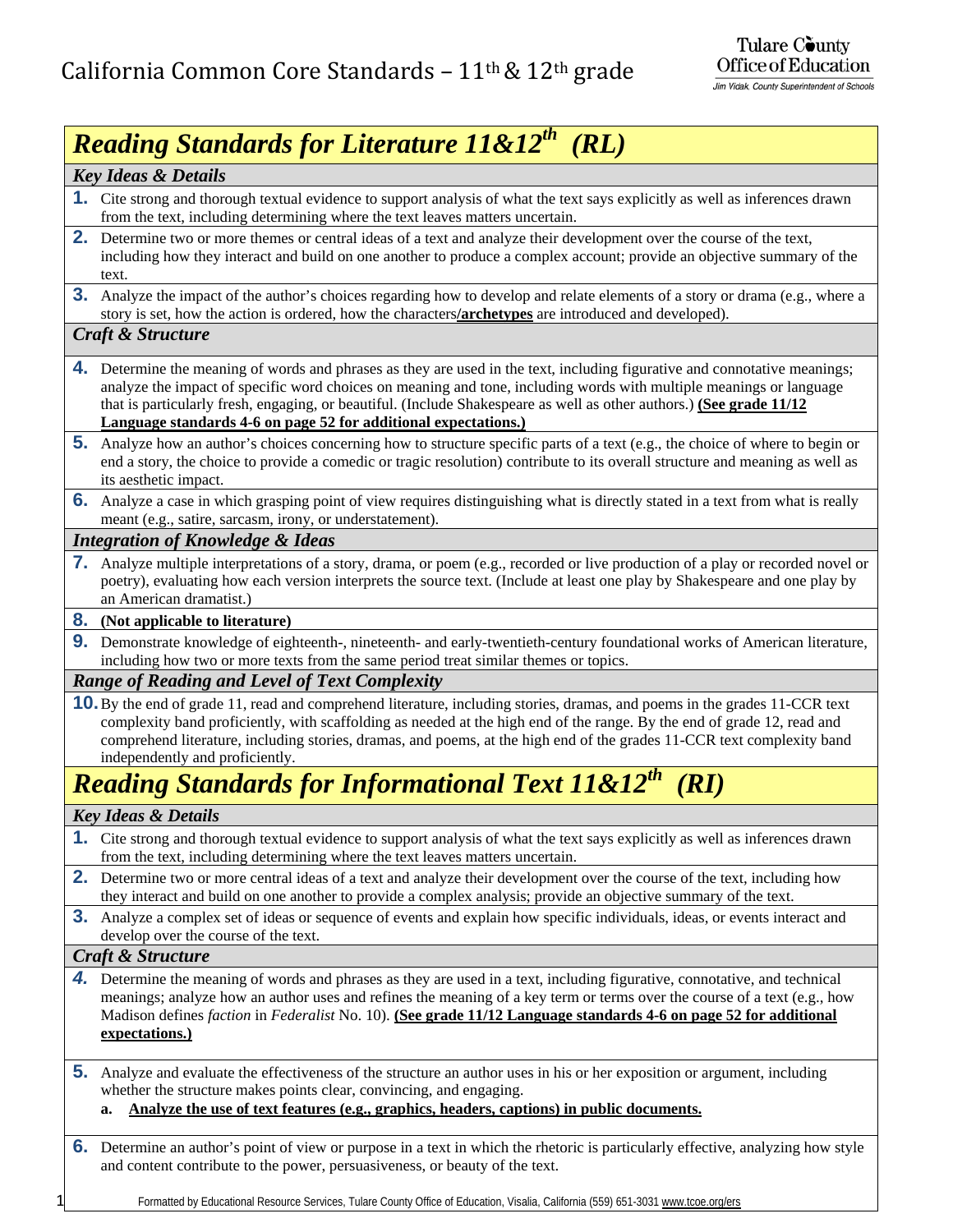# *Reading Standards for Literature 11&12th (RL)*

| <b>Key Ideas &amp; Details</b>                                                                                                                                                                                                                                                                                                                                                                                                               |  |
|----------------------------------------------------------------------------------------------------------------------------------------------------------------------------------------------------------------------------------------------------------------------------------------------------------------------------------------------------------------------------------------------------------------------------------------------|--|
| 1. Cite strong and thorough textual evidence to support analysis of what the text says explicitly as well as inferences drawn<br>from the text, including determining where the text leaves matters uncertain.                                                                                                                                                                                                                               |  |
| 2. Determine two or more themes or central ideas of a text and analyze their development over the course of the text,<br>including how they interact and build on one another to produce a complex account; provide an objective summary of the<br>text.                                                                                                                                                                                     |  |
| <b>3.</b> Analyze the impact of the author's choices regarding how to develop and relate elements of a story or drama (e.g., where a<br>story is set, how the action is ordered, how the characters/archetypes are introduced and developed).                                                                                                                                                                                                |  |
| Craft & Structure                                                                                                                                                                                                                                                                                                                                                                                                                            |  |
| 4. Determine the meaning of words and phrases as they are used in the text, including figurative and connotative meanings;<br>analyze the impact of specific word choices on meaning and tone, including words with multiple meanings or language<br>that is particularly fresh, engaging, or beautiful. (Include Shakespeare as well as other authors.) (See grade 11/12<br>Language standards 4-6 on page 52 for additional expectations.) |  |
| 5. Analyze how an author's choices concerning how to structure specific parts of a text (e.g., the choice of where to begin or<br>end a story, the choice to provide a comedic or tragic resolution) contribute to its overall structure and meaning as well as<br>its aesthetic impact.                                                                                                                                                     |  |
| 6. Analyze a case in which grasping point of view requires distinguishing what is directly stated in a text from what is really<br>meant (e.g., satire, sarcasm, irony, or understatement).                                                                                                                                                                                                                                                  |  |
| <b>Integration of Knowledge &amp; Ideas</b>                                                                                                                                                                                                                                                                                                                                                                                                  |  |
| <b>7.</b> Analyze multiple interpretations of a story, drama, or poem (e.g., recorded or live production of a play or recorded novel or<br>poetry), evaluating how each version interprets the source text. (Include at least one play by Shakespeare and one play by<br>an American dramatist.)                                                                                                                                             |  |
| <b>8.</b> (Not applicable to literature)                                                                                                                                                                                                                                                                                                                                                                                                     |  |
| <b>9.</b> Demonstrate knowledge of eighteenth-, nineteenth- and early-twentieth-century foundational works of American literature,<br>including how two or more texts from the same period treat similar themes or topics.                                                                                                                                                                                                                   |  |
| <b>Range of Reading and Level of Text Complexity</b>                                                                                                                                                                                                                                                                                                                                                                                         |  |
| <b>10.</b> By the end of grade 11, read and comprehend literature, including stories, dramas, and poems in the grades 11-CCR text<br>complexity band proficiently, with scaffolding as needed at the high end of the range. By the end of grade 12, read and<br>comprehend literature, including stories, dramas, and poems, at the high end of the grades 11-CCR text complexity band<br>independently and proficiently.                    |  |
| <b>Reading Standards for Informational Text 11&amp;12<sup>th</sup> (RI)</b>                                                                                                                                                                                                                                                                                                                                                                  |  |
| <b>Key Ideas &amp; Details</b>                                                                                                                                                                                                                                                                                                                                                                                                               |  |
| <b>1.</b> Cite strong and thorough textual evidence to support analysis of what the text says explicitly as well as inferences drawn<br>from the text, including determining where the text leaves matters uncertain.                                                                                                                                                                                                                        |  |
| <b>2.</b> Determine two or more central ideas of a text and analyze their development over the course of the text, including how<br>they interact and build on one another to provide a complex analysis; provide an objective summary of the text.                                                                                                                                                                                          |  |
| <b>3.</b> Analyze a complex set of ideas or sequence of events and explain how specific individuals, ideas, or events interact and<br>develop over the course of the text.                                                                                                                                                                                                                                                                   |  |
| Craft & Structure                                                                                                                                                                                                                                                                                                                                                                                                                            |  |
| 4. Determine the meaning of words and phrases as they are used in a text, including figurative, connotative, and technical<br>meanings; analyze how an author uses and refines the meaning of a key term or terms over the course of a text (e.g., how<br>Madison defines <i>faction</i> in <i>Federalist</i> No. 10). (See grade 11/12 Language standards 4-6 on page 52 for additional<br>expectations.)                                   |  |
| 5.<br>Analyze and evaluate the effectiveness of the structure an author uses in his or her exposition or argument, including<br>whether the structure makes points clear, convincing, and engaging.<br>Analyze the use of text features (e.g., graphics, headers, captions) in public documents.<br>a.                                                                                                                                       |  |
| <b>6.</b> Determine an author's point of view or purpose in a text in which the rhetoric is particularly effective, analyzing how style<br>and content contribute to the power, persuasiveness, or beauty of the text.                                                                                                                                                                                                                       |  |
| Formatted by Educational Resource Services, Tulare County Office of Education, Visalia, California (559) 651-3031 www.tcoe.org/ers                                                                                                                                                                                                                                                                                                           |  |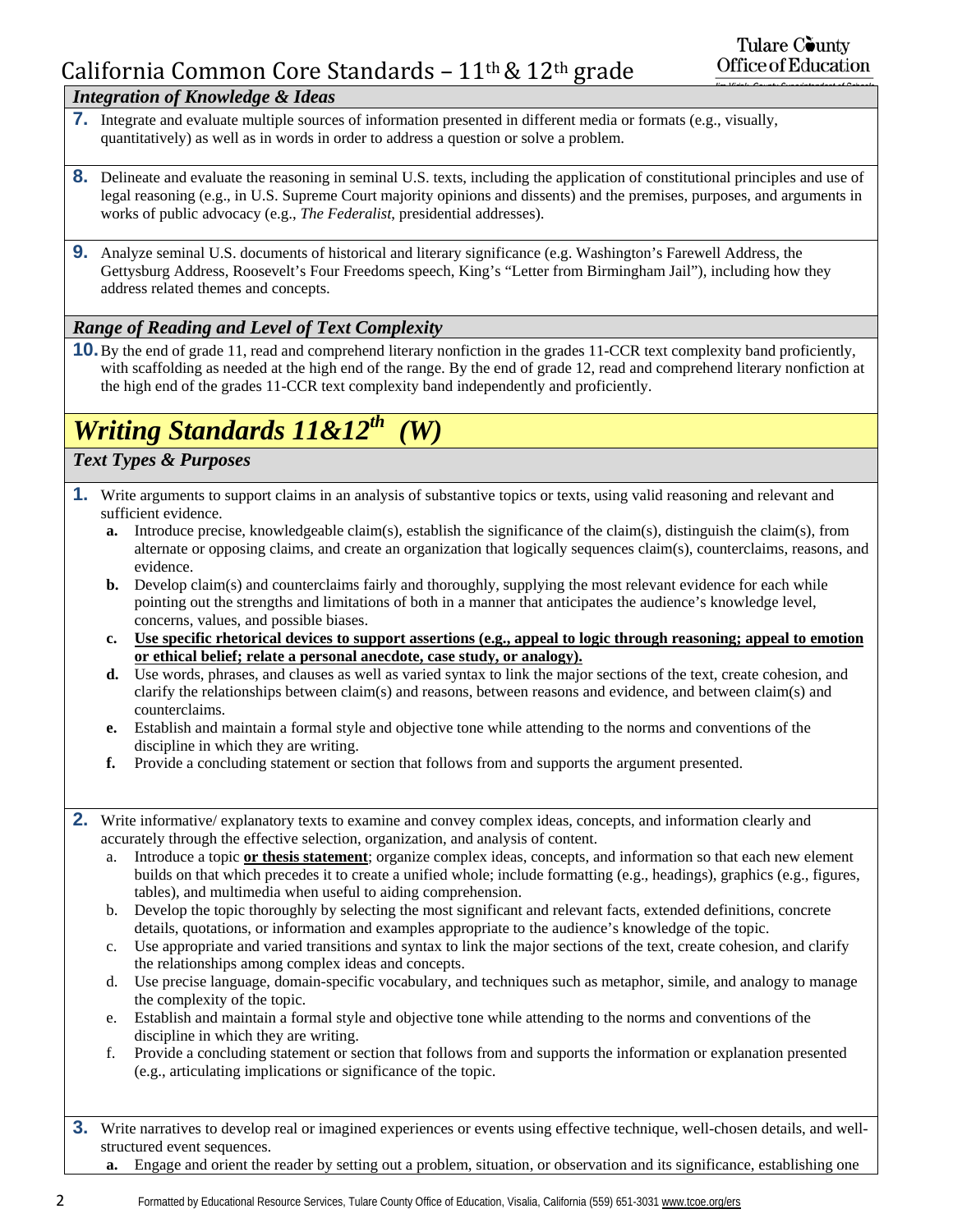### *Integration of Knowledge & Ideas*

- **7.** Integrate and evaluate multiple sources of information presented in different media or formats (e.g., visually, quantitatively) as well as in words in order to address a question or solve a problem.
- **8.** Delineate and evaluate the reasoning in seminal U.S. texts, including the application of constitutional principles and use of legal reasoning (e.g., in U.S. Supreme Court majority opinions and dissents) and the premises, purposes, and arguments in works of public advocacy (e.g., *The Federalist*, presidential addresses).
- **9.** Analyze seminal U.S. documents of historical and literary significance (e.g. Washington's Farewell Address, the Gettysburg Address, Roosevelt's Four Freedoms speech, King's "Letter from Birmingham Jail"), including how they address related themes and concepts.

### *Range of Reading and Level of Text Complexity*

**10.** By the end of grade 11, read and comprehend literary nonfiction in the grades 11-CCR text complexity band proficiently, with scaffolding as needed at the high end of the range. By the end of grade 12, read and comprehend literary nonfiction at the high end of the grades 11-CCR text complexity band independently and proficiently.

# *Writing Standards 11&12th (W)*

### *Text Types & Purposes*

- **1.** Write arguments to support claims in an analysis of substantive topics or texts, using valid reasoning and relevant and sufficient evidence.
	- **a.** Introduce precise, knowledgeable claim(s), establish the significance of the claim(s), distinguish the claim(s), from alternate or opposing claims, and create an organization that logically sequences claim(s), counterclaims, reasons, and evidence.
	- **b.** Develop claim(s) and counterclaims fairly and thoroughly, supplying the most relevant evidence for each while pointing out the strengths and limitations of both in a manner that anticipates the audience's knowledge level, concerns, values, and possible biases.
	- **c. Use specific rhetorical devices to support assertions (e.g., appeal to logic through reasoning; appeal to emotion or ethical belief; relate a personal anecdote, case study, or analogy).**
	- **d.** Use words, phrases, and clauses as well as varied syntax to link the major sections of the text, create cohesion, and clarify the relationships between claim(s) and reasons, between reasons and evidence, and between claim(s) and counterclaims.
	- **e.** Establish and maintain a formal style and objective tone while attending to the norms and conventions of the discipline in which they are writing.
	- **f.** Provide a concluding statement or section that follows from and supports the argument presented.
- **2.** Write informative/ explanatory texts to examine and convey complex ideas, concepts, and information clearly and accurately through the effective selection, organization, and analysis of content.
	- a. Introduce a topic **or thesis statement**; organize complex ideas, concepts, and information so that each new element builds on that which precedes it to create a unified whole; include formatting (e.g., headings), graphics (e.g., figures, tables), and multimedia when useful to aiding comprehension.
	- b. Develop the topic thoroughly by selecting the most significant and relevant facts, extended definitions, concrete details, quotations, or information and examples appropriate to the audience's knowledge of the topic.
	- c. Use appropriate and varied transitions and syntax to link the major sections of the text, create cohesion, and clarify the relationships among complex ideas and concepts.
	- d. Use precise language, domain-specific vocabulary, and techniques such as metaphor, simile, and analogy to manage the complexity of the topic.
	- e. Establish and maintain a formal style and objective tone while attending to the norms and conventions of the discipline in which they are writing.
	- f. Provide a concluding statement or section that follows from and supports the information or explanation presented (e.g., articulating implications or significance of the topic.
- **3.** Write narratives to develop real or imagined experiences or events using effective technique, well-chosen details, and wellstructured event sequences.
	- **a.** Engage and orient the reader by setting out a problem, situation, or observation and its significance, establishing one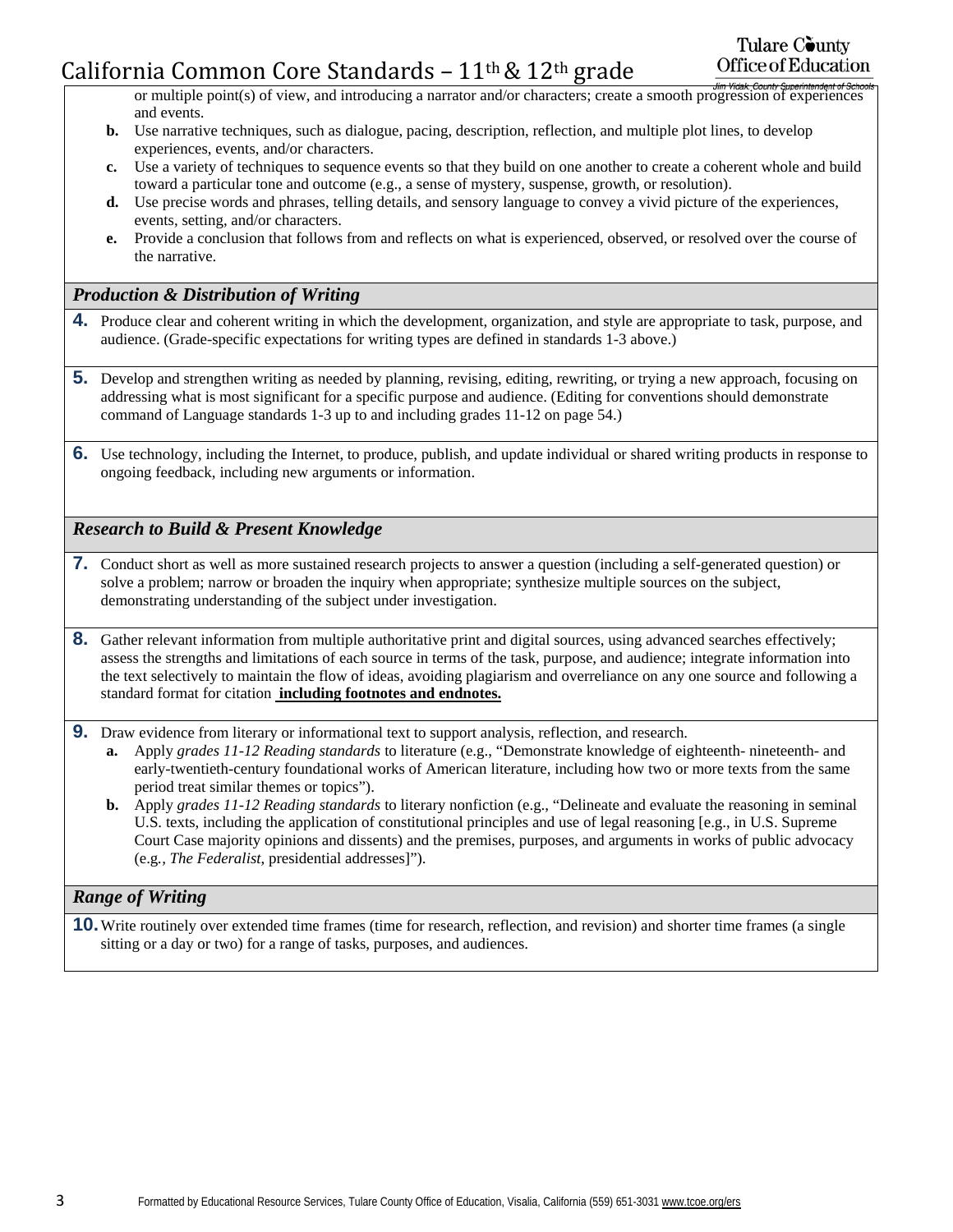or multiple point(s) of view, and introducing a narrator and/or characters; create a smooth progression of experiences and events.

- **b.** Use narrative techniques, such as dialogue, pacing, description, reflection, and multiple plot lines, to develop experiences, events, and/or characters.
- **c.** Use a variety of techniques to sequence events so that they build on one another to create a coherent whole and build toward a particular tone and outcome (e.g., a sense of mystery, suspense, growth, or resolution).
- **d.** Use precise words and phrases, telling details, and sensory language to convey a vivid picture of the experiences, events, setting, and/or characters.
- **e.** Provide a conclusion that follows from and reflects on what is experienced, observed, or resolved over the course of the narrative.

### *Production & Distribution of Writing*

- **4.** Produce clear and coherent writing in which the development, organization, and style are appropriate to task, purpose, and audience. (Grade-specific expectations for writing types are defined in standards 1-3 above.)
- **5.** Develop and strengthen writing as needed by planning, revising, editing, rewriting, or trying a new approach, focusing on addressing what is most significant for a specific purpose and audience. (Editing for conventions should demonstrate command of Language standards 1-3 up to and including grades 11-12 on page 54.)
- **6.** Use technology, including the Internet, to produce, publish, and update individual or shared writing products in response to ongoing feedback, including new arguments or information.

### *Research to Build & Present Knowledge*

- **7.** Conduct short as well as more sustained research projects to answer a question (including a self-generated question) or solve a problem; narrow or broaden the inquiry when appropriate; synthesize multiple sources on the subject, demonstrating understanding of the subject under investigation.
- **8.** Gather relevant information from multiple authoritative print and digital sources, using advanced searches effectively; assess the strengths and limitations of each source in terms of the task, purpose, and audience; integrate information into the text selectively to maintain the flow of ideas, avoiding plagiarism and overreliance on any one source and following a standard format for citation **including footnotes and endnotes.**
- **9.** Draw evidence from literary or informational text to support analysis, reflection, and research.
	- **a.** Apply *grades 11-12 Reading standards* to literature (e.g., "Demonstrate knowledge of eighteenth- nineteenth- and early-twentieth-century foundational works of American literature, including how two or more texts from the same period treat similar themes or topics").
	- **b.** Apply *grades 11-12 Reading standards* to literary nonfiction (e.g., "Delineate and evaluate the reasoning in seminal U.S. texts, including the application of constitutional principles and use of legal reasoning [e.g., in U.S. Supreme Court Case majority opinions and dissents) and the premises, purposes, and arguments in works of public advocacy (e.g*., The Federalist*, presidential addresses]").

### *Range of Writing*

**10.** Write routinely over extended time frames (time for research, reflection, and revision) and shorter time frames (a single sitting or a day or two) for a range of tasks, purposes, and audiences.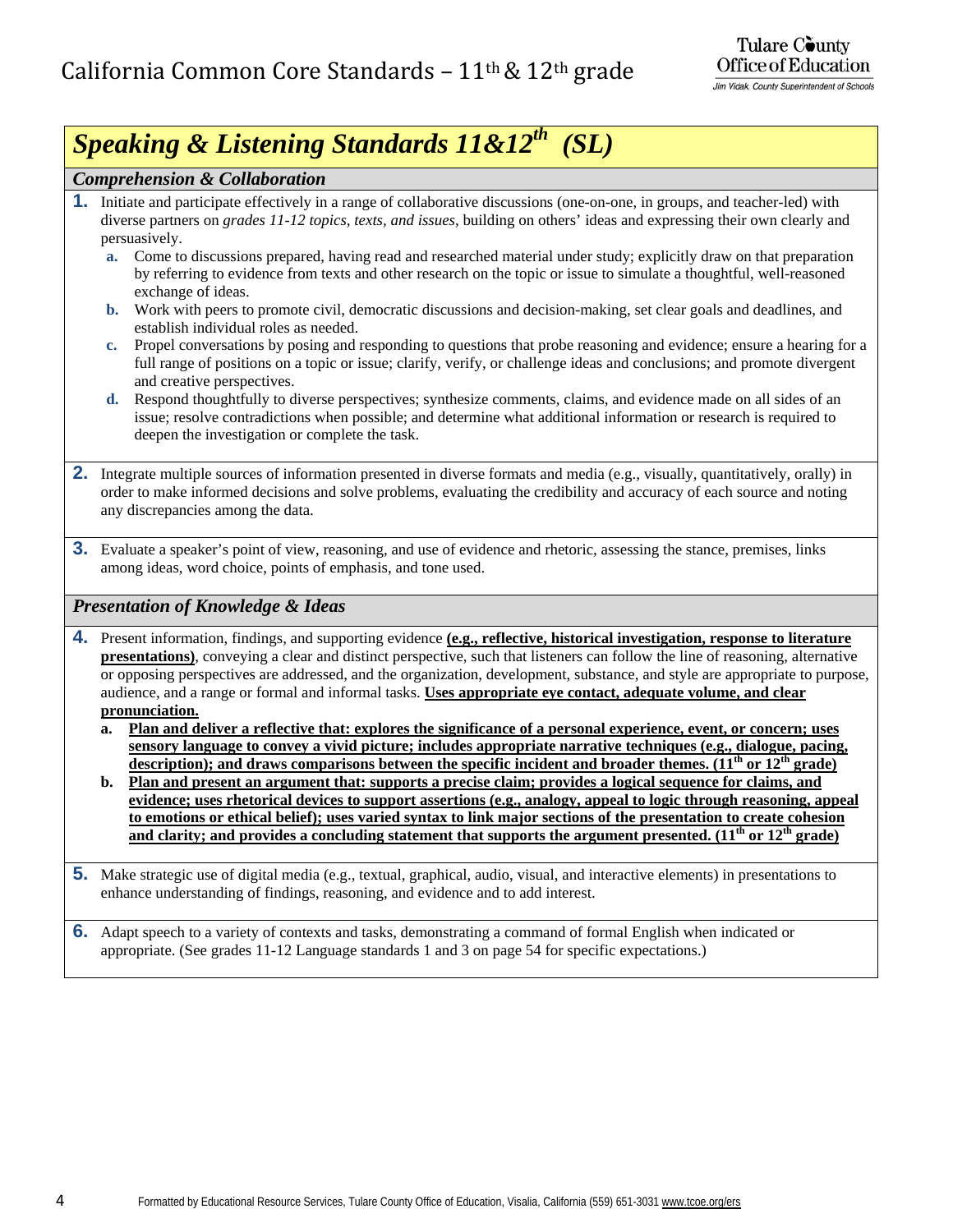# *Speaking & Listening Standards 11&12th (SL)*

### *Comprehension & Collaboration*

- **1.** Initiate and participate effectively in a range of collaborative discussions (one-on-one, in groups, and teacher-led) with diverse partners on *grades 11-12 topics, texts, and issues*, building on others' ideas and expressing their own clearly and persuasively.
	- **a.** Come to discussions prepared, having read and researched material under study; explicitly draw on that preparation by referring to evidence from texts and other research on the topic or issue to simulate a thoughtful, well-reasoned exchange of ideas.
	- **b.** Work with peers to promote civil, democratic discussions and decision-making, set clear goals and deadlines, and establish individual roles as needed.
	- **c.** Propel conversations by posing and responding to questions that probe reasoning and evidence; ensure a hearing for a full range of positions on a topic or issue; clarify, verify, or challenge ideas and conclusions; and promote divergent and creative perspectives.
	- **d.** Respond thoughtfully to diverse perspectives; synthesize comments, claims, and evidence made on all sides of an issue; resolve contradictions when possible; and determine what additional information or research is required to deepen the investigation or complete the task.
- **2.** Integrate multiple sources of information presented in diverse formats and media (e.g., visually, quantitatively, orally) in order to make informed decisions and solve problems, evaluating the credibility and accuracy of each source and noting any discrepancies among the data.
- **3.** Evaluate a speaker's point of view, reasoning, and use of evidence and rhetoric, assessing the stance, premises, links among ideas, word choice, points of emphasis, and tone used.

### *Presentation of Knowledge & Ideas*

- **4.** Present information, findings, and supporting evidence **(e.g., reflective, historical investigation, response to literature presentations)**, conveying a clear and distinct perspective, such that listeners can follow the line of reasoning, alternative or opposing perspectives are addressed, and the organization, development, substance, and style are appropriate to purpose, audience, and a range or formal and informal tasks. **Uses appropriate eye contact, adequate volume, and clear pronunciation.**
	- **a. Plan and deliver a reflective that: explores the significance of a personal experience, event, or concern; uses sensory language to convey a vivid picture; includes appropriate narrative techniques (e.g., dialogue, pacing, description); and draws comparisons between the specific incident and broader themes. (11th or 12th grade)**
	- **b. Plan and present an argument that: supports a precise claim; provides a logical sequence for claims, and evidence; uses rhetorical devices to support assertions (e.g., analogy, appeal to logic through reasoning, appeal to emotions or ethical belief); uses varied syntax to link major sections of the presentation to create cohesion**  and clarity; and provides a concluding statement that supports the argument presented. (11<sup>th</sup> or 12<sup>th</sup> grade)
- **5.** Make strategic use of digital media (e.g., textual, graphical, audio, visual, and interactive elements) in presentations to enhance understanding of findings, reasoning, and evidence and to add interest.

**6.** Adapt speech to a variety of contexts and tasks, demonstrating a command of formal English when indicated or appropriate. (See grades 11-12 Language standards 1 and 3 on page 54 for specific expectations.)